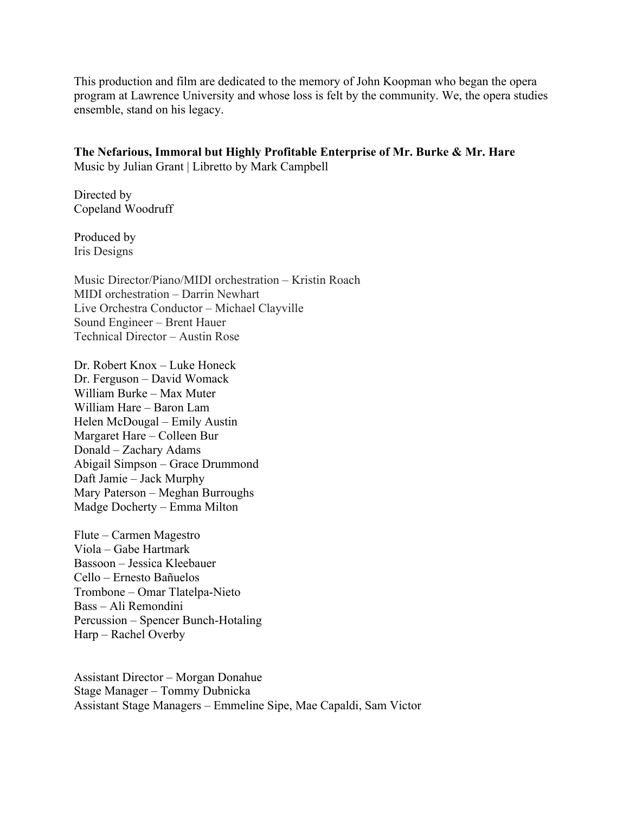This production and film are dedicated to the memory of John Koopman who began the opera program at Lawrence University and whose loss is felt by the community. We, the opera studies ensemble, stand on his legacy.

**The Nefarious, Immoral but Highly Profitable Enterprise of Mr. Burke & Mr. Hare** Music by Julian Grant | Libretto by Mark Campbell

Directed by Copeland Woodruff

Produced by Iris Designs

Music Director/Piano/MIDI orchestration – Kristin Roach MIDI orchestration – Darrin Newhart Live Orchestra Conductor – Michael Clayville Sound Engineer – Brent Hauer Technical Director – Austin Rose

Dr. Robert Knox – Luke Honeck Dr. Ferguson – David Womack William Burke – Max Muter William Hare – Baron Lam Helen McDougal – Emily Austin Margaret Hare – Colleen Bur Donald – Zachary Adams Abigail Simpson – Grace Drummond Daft Jamie – Jack Murphy Mary Paterson – Meghan Burroughs Madge Docherty – Emma Milton

Flute – Carmen Magestro Viola – Gabe Hartmark Bassoon – Jessica Kleebauer Cello – Ernesto Bañuelos Trombone – Omar Tlatelpa-Nieto Bass – Ali Remondini Percussion – Spencer Bunch-Hotaling Harp – Rachel Overby

Assistant Director – Morgan Donahue Stage Manager – Tommy Dubnicka Assistant Stage Managers – Emmeline Sipe, Mae Capaldi, Sam Victor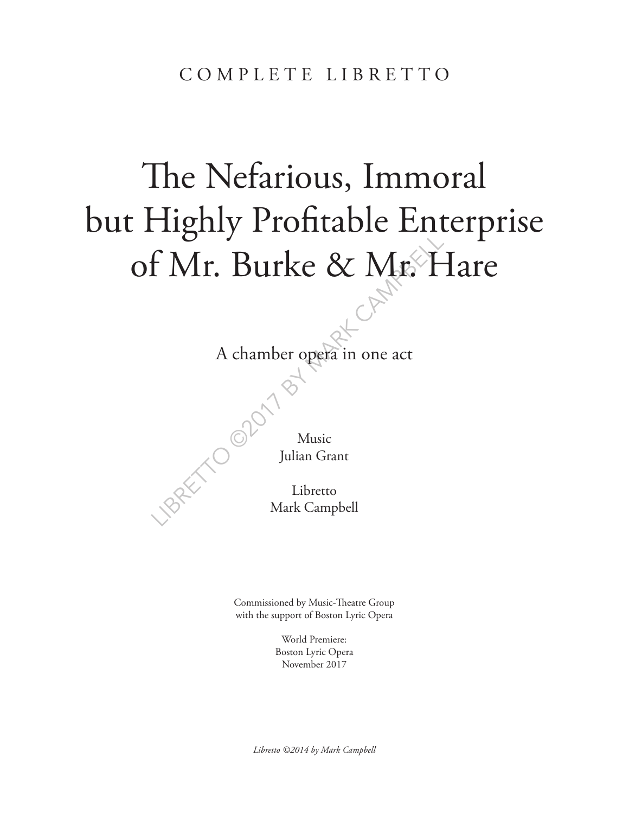# The Nefarious, Immoral but Highly Profitable Enterprise of Mr. Burke & Mr. Hare

A chamber opera in one a A chamber opera in one act

Music Julian Grant

Libretto Mark Campbell

Commissioned by Music-Theatre Group with the support of Boston Lyric Opera

> World Premiere: Boston Lyric Opera November 2017

*Libretto ©2014 by Mark Campbell*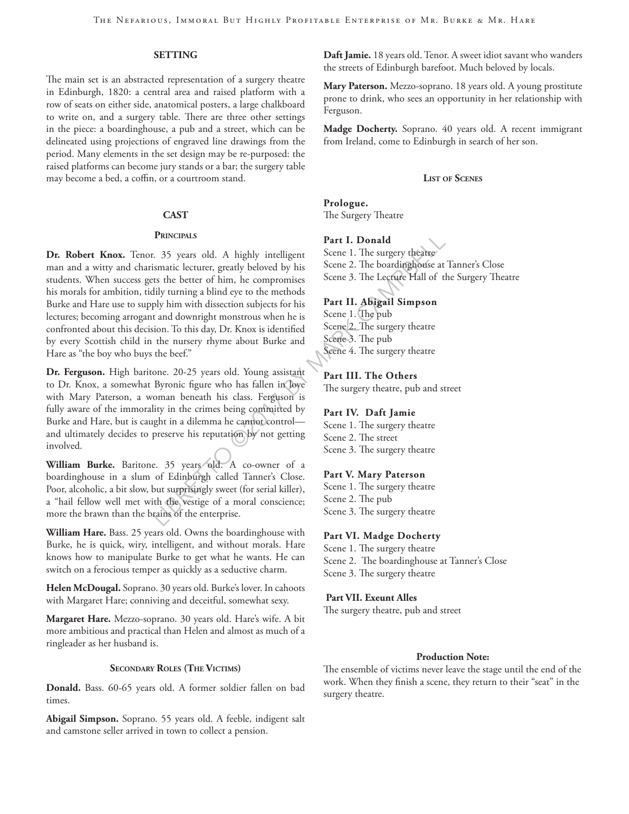#### **SETTING**

The main set is an abstracted representation of a surgery theatre in Edinburgh, 1820: a central area and raised platform with a row of seats on either side, anatomical posters, a large chalkboard to write on, and a surgery table. There are three other settings in the piece: a boardinghouse, a pub and a street, which can be delineated using projections of engraved line drawings from the period. Many elements in the set design may be re-purposed: the raised platforms can become jury stands or a bar; the surgery table may become a bed, a coffin, or a courtroom stand.

#### **CAST**

#### **Principals**

**PRINCIPALS**<br>
25 years old. A highly intelligent<br>
isomatic lecturer, greatly beloved by his<br>
5 cene 2. The boardinghouse at<br>
the better of him, he compromises<br>
dily turning a blind eye to the methods<br>
by him with dissectio **Dr. Robert Knox.** Tenor. 35 years old. A highly intelligent man and a witty and charismatic lecturer, greatly beloved by his students. When success gets the better of him, he compromises his morals for ambition, tidily turning a blind eye to the methods Burke and Hare use to supply him with dissection subjects for his lectures; becoming arrogant and downright monstrous when he is confronted about this decision. To this day, Dr. Knox is identified by every Scottish child in the nursery rhyme about Burke and Hare as "the boy who buys the beef."

**Dr. Ferguson.** High baritone. 20-25 years old. Young assistant to Dr. Knox, a somewhat Byronic figure who has fallen in love with Mary Paterson, a woman beneath his class. Ferguson is fully aware of the immorality in the crimes being committed by Burke and Hare, but is caught in a dilemma he cannot control and ultimately decides to preserve his reputation by not getting involved.

**William Burke.** Baritone. 35 years old. A co-owner of a boardinghouse in a slum of Edinburgh called Tanner's Close. Poor, alcoholic, a bit slow, but surprisingly sweet (for serial killer), a "hail fellow well met with the vestige of a moral conscience; more the brawn than the brains of the enterprise.

**William Hare.** Bass. 25 years old. Owns the boardinghouse with Burke, he is quick, wiry, intelligent, and without morals. Hare knows how to manipulate Burke to get what he wants. He can switch on a ferocious temper as quickly as a seductive charm.

**Helen McDougal.** Soprano. 30 years old. Burke's lover. In cahoots with Margaret Hare; conniving and deceitful, somewhat sexy.

**Margaret Hare.** Mezzo-soprano. 30 years old. Hare's wife. A bit more ambitious and practical than Helen and almost as much of a ringleader as her husband is.

#### **Secondary Roles (The Victims)**

**Donald.** Bass. 60-65 years old. A former soldier fallen on bad times.

**Abigail Simpson.** Soprano. 55 years old. A feeble, indigent salt and camstone seller arrived in town to collect a pension.

**Daft Jamie.** 18 years old. Tenor. A sweet idiot savant who wanders the streets of Edinburgh barefoot. Much beloved by locals.

**Mary Paterson.** Mezzo-soprano. 18 years old. A young prostitute prone to drink, who sees an opportunity in her relationship with Ferguson.

**Madge Docherty.** Soprano. 40 years old. A recent immigrant from Ireland, come to Edinburgh in search of her son.

#### **List of Scenes**

**Prologue.** The Surgery Theatre

#### **Part I. Donald**

Scene 1. The surgery theatre Scene 2. The boardinghouse at Tanner's Close Scene 3. The Lecture Hall of the Surgery Theatre

#### **Part II. Abigail Simpson**

Scene 1. The pub Scene 2. The surgery theatre Scene 3. The pub Scene 4. The surgery theatre

#### **Part III. The Others**

The surgery theatre, pub and street

#### **Part IV. Daft Jamie**

Scene 1. The surgery theatre Scene 2. The street Scene 3. The surgery theatre

#### **Part V. Mary Paterson**

Scene 1. The surgery theatre Scene 2. The pub Scene 3. The surgery theatre

#### **Part VI. Madge Docherty**

Scene 1. The surgery theatre Scene 2. The boardinghouse at Tanner's Close Scene 3. The surgery theatre

#### **Part VII. Exeunt Alles**

The surgery theatre, pub and street

#### **Production Note:**

The ensemble of victims never leave the stage until the end of the work. When they finish a scene, they return to their "seat" in the surgery theatre.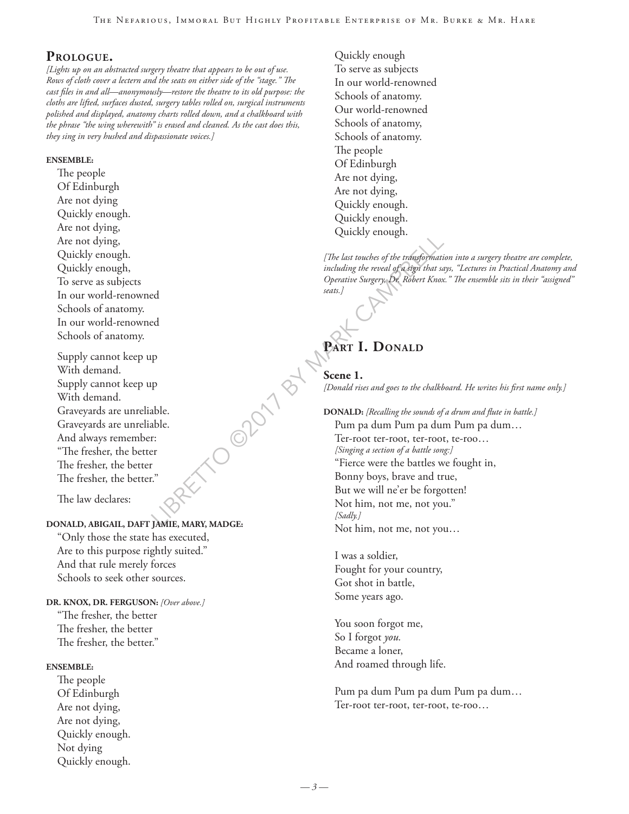#### **Prologue.**

*[Lights up on an abstracted surgery theatre that appears to be out of use. Rows of cloth cover a lectern and the seats on either side of the "stage." The cast files in and all—anonymously—restore the theatre to its old purpose: the cloths are lifted, surfaces dusted, surgery tables rolled on, surgical instruments polished and displayed, anatomy charts rolled down, and a chalkboard with the phrase "the wing wherewith" is erased and cleaned. As the cast does this, they sing in very hushed and dispassionate voices.]*

#### **ENSEMBLE:**

The people Of Edinburgh Are not dying Quickly enough. Are not dying, Are not dying, Quickly enough. Quickly enough, To serve as subjects In our world-renowned Schools of anatomy. In our world-renowned Schools of anatomy.

Supply cannot keep up With demand. Supply cannot keep up With demand. Graveyards are unreliable. Graveyards are unreliable. And always remember: "The fresher, the better The fresher, the better The fresher, the better."

The law declares:

#### **DONALD, ABIGAIL, DAFT JAMIE, MARY, MADGE:**

"Only those the state has executed, Are to this purpose rightly suited." And that rule merely forces Schools to seek other sources.

#### **DR. KNOX, DR. FERGUSON:** *[Over above.]*

"The fresher, the better The fresher, the better The fresher, the better."

#### **ENSEMBLE:**

The people Of Edinburgh Are not dying, Are not dying, Quickly enough. Not dying Quickly enough.

Quickly enough To serve as subjects In our world-renowned Schools of anatomy. Our world-renowned Schools of anatomy, Schools of anatomy. The people Of Edinburgh Are not dying, Are not dying, Quickly enough. Quickly enough. Quickly enough.

*[The last touches of the transformation into a surgery theatre are complete, including the reveal of a sign that says, "Lectures in Practical Anatomy and Operative Surgery, Dr. Robert Knox." The ensemble sits in their "assigned" seats.]*

## PART **I. DONALD**

**Scene 1.**  *[Donald rises and goes to the chalkboard. He writes his first name only.]*

#### **DONALD:** *[Recalling the sounds of a drum and flute in battle.]*

Pum pa dum Pum pa dum Pum pa dum… Ter-root ter-root, ter-root, te-roo… *[Singing a section of a battle song:]* "Fierce were the battles we fought in, Bonny boys, brave and true, But we will ne'er be forgotten! Not him, not me, not you." *[Sadly.]* Not him, not me, not you…

I was a soldier, Fought for your country, Got shot in battle, Some years ago.

You soon forgot me, So I forgot *you.* Became a loner, And roamed through life.

Pum pa dum Pum pa dum Pum pa dum… Ter-root ter-root, ter-root, te-roo…

O OPOITS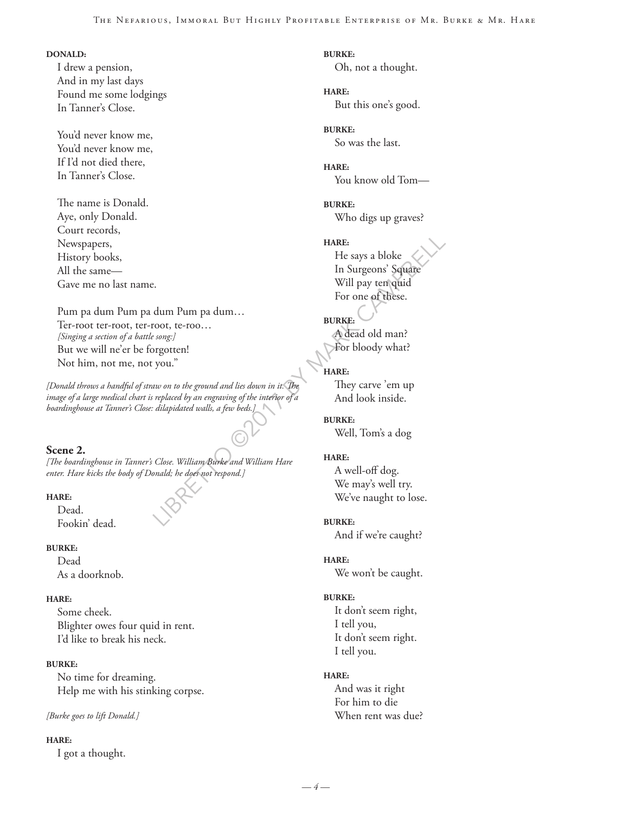#### **DONALD:**

I drew a pension, And in my last days Found me some lodgings In Tanner's Close.

You'd never know me, You'd never know me, If I'd not died there, In Tanner's Close.

The name is Donald. Aye, only Donald. Court records, Newspapers, History books, All the same— Gave me no last name.

Pum pa dum Pum pa dum Pum pa dum… Ter-root ter-root, ter-root, te-roo… *[Singing a section of a battle song:]* But we will ne'er be forgotten! Not him, not me, not you."

*[Donald throws a handful of straw on to the ground and lies down in it. The image of a large medical chart is replaced by an engraving of the interior of a boardinghouse at Tanner's Close: dilapidated walls, a few beds.]*

#### **Scene 2.**

*[The boardinghouse in Tanner's Close. William Burke and William Hare enter. Hare kicks the body of Donald; he does not respond.]*

#### **HARE:**

Dead. Fookin' dead.

#### **BURKE:**

Dead As a doorknob.

#### **HARE:**

Some cheek. Blighter owes four quid in rent. I'd like to break his neck.

#### **BURKE:**

No time for dreaming. Help me with his stinking corpse.

#### *[Burke goes to lift Donald.]*

#### **HARE:**

I got a thought.

**BURKE:** Oh, not a thought.

**HARE:** But this one's good.

**BURKE:** So was the last.

**HARE:** You know old Tom—

**BURKE:** Who digs up graves?

HARE:<br>
He says a bloke<br>
In Surgeons' Square<br>
Will pay ten quid<br>
For one of these.<br>
Will pay ten quid<br>
For one of these.<br>
For one of these.<br>
For one of these.<br>
song:<br>
propertien!<br>
They care is the same of the same of the se **HARE:** He says a bloke In Surgeons' Square Will pay ten quid For one of these.

**BURKE:** A dead old man? For bloody what?

#### **HARE:**

They carve 'em up And look inside.

**BURKE:** Well, Tom's a dog

#### **HARE:**

A well-off dog. We may's well try. We've naught to lose.

#### **BURKE:**

And if we're caught?

#### **HARE:**

We won't be caught.

#### **BURKE:**

It don't seem right, I tell you, It don't seem right. I tell you.

#### **HARE:**

And was it right For him to die When rent was due?

*— 4 —*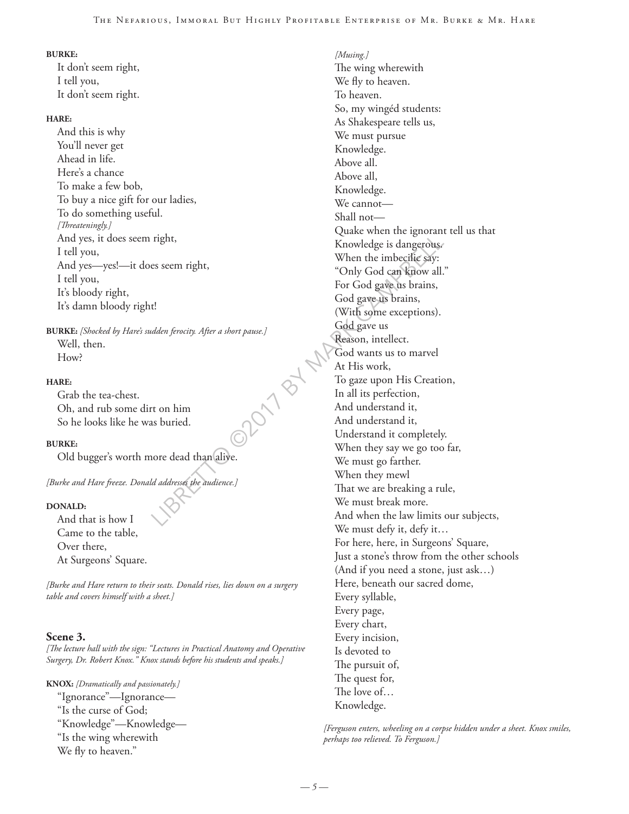#### **BURKE:**

It don't seem right, I tell you, It don't seem right.

#### **HARE:**

And this is why You'll never get Ahead in life. Here's a chance To make a few bob, To buy a nice gift for our ladies, To do something useful. *[Threateningly.]* And yes, it does seem right, I tell you, And yes—yes!—it does seem right, I tell you, It's bloody right, It's damn bloody right!

**BURKE:** *[Shocked by Hare's sudden ferocity. After a short pause.]* Well, then. How?

#### **HARE:**

Grab the tea-chest. Oh, and rub some dirt on him So he looks like he was buried.

#### **BURKE:**

Old bugger's worth more dead than alive.

*[Burke and Hare freeze. Donald addresses the audience.]*

#### **DONALD:**

And that is how I Came to the table, Over there, At Surgeons' Square.

*[Burke and Hare return to their seats. Donald rises, lies down on a surgery table and covers himself with a sheet.]*

#### **Scene 3.**

*[The lecture hall with the sign: "Lectures in Practical Anatomy and Operative Surgery, Dr. Robert Knox." Knox stands before his students and speaks.]* 

**KNOX:** *[Dramatically and passionately.]* "Ignorance"—Ignorance— "Is the curse of God; "Knowledge"—Knowledge— "Is the wing wherewith We fly to heaven."

Fight,<br>
Expanding the space of the space of the space of the space of the space of the space of the space of the space of the space of the space of the space of the space of the space of the space of the space of the space *[Musing.]* The wing wherewith We fly to heaven. To heaven. So, my wingéd students: As Shakespeare tells us, We must pursue Knowledge. Above all. Above all, Knowledge. We cannot— Shall not— Quake when the ignorant tell us that Knowledge is dangerous. When the imbecilic say: "Only God can know all." For God gave us brains, God gave us brains, (With some exceptions). God gave us Reason, intellect. God wants us to marvel At His work, To gaze upon His Creation, In all its perfection, And understand it, And understand it, Understand it completely. When they say we go too far, We must go farther. When they mewl That we are breaking a rule, We must break more. And when the law limits our subjects, We must defy it, defy it… For here, here, in Surgeons' Square, Just a stone's throw from the other schools (And if you need a stone, just ask…) Here, beneath our sacred dome, Every syllable, Every page, Every chart, Every incision, Is devoted to The pursuit of, The quest for, The love of… Knowledge.

> *[Ferguson enters, wheeling on a corpse hidden under a sheet. Knox smiles, perhaps too relieved. To Ferguson.]*

*— 5 —*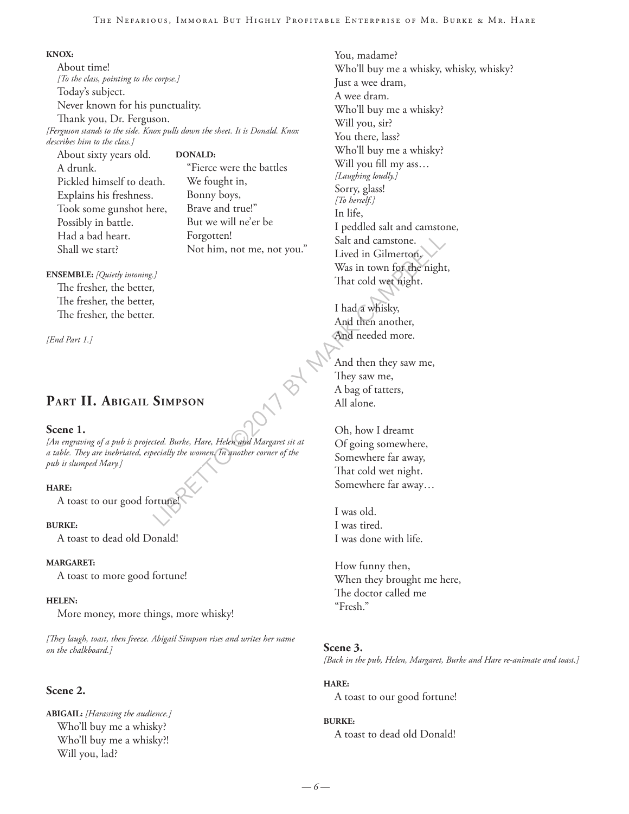#### The Nefarious, Immoral But Highly Profitable Enterprise of Mr. Burke & Mr. Hare

#### **KNOX:**

About time! *[To the class, pointing to the corpse.]* Today's subject. Never known for his punctuality. Thank you, Dr. Ferguson. *[Ferguson stands to the side. Knox pulls down the sheet. It is Donald. Knox describes him to the class.]*

About sixty years old. A drunk. Pickled himself to death. Explains his freshness. Took some gunshot here, Possibly in battle. Had a bad heart. Shall we start?

**DONALD:** "Fierce were the battles We fought in, Bonny boys, Brave and true!" But we will ne'er be Forgotten! Not him, not me, not you."

## **ENSEMBLE:** *[Quietly intoning.]*

The fresher, the better, The fresher, the better, The fresher, the better.

*[End Part 1.]*

## **Part II. Abigail Simpson**

#### **Scene 1.**

*[An engraving of a pub is projected. Burke, Hare, Helen and Margaret sit at a table. They are inebriated, especially the women. In another corner of the pub is slumped Mary.]*

#### **HARE:**

A toast to our good fortune!

#### **BURKE:**

A toast to dead old Donald!

#### **MARGARET:**

A toast to more good fortune!

#### **HELEN:**

More money, more things, more whisky!

*[They laugh, toast, then freeze. Abigail Simpson rises and writes her name on the chalkboard.]*

#### **Scene 2.**

**ABIGAIL:** *[Harassing the audience.]* Who'll buy me a whisky? Who'll buy me a whisky?! Will you, lad?

Forgotten!<br>
Not him, not me, not you."<br>
Lived in Gilmerton,<br>
Was in town for the night<br>
That cold were night.<br>
That cold were night.<br>
<br>
For the material of the materials<br>
And then another,<br>
And then another,<br>
And then anot You, madame? Who'll buy me a whisky, whisky, whisky? Just a wee dram, A wee dram. Who'll buy me a whisky? Will you, sir? You there, lass? Who'll buy me a whisky? Will you fill my ass… *[Laughing loudly.]* Sorry, glass! *[To herself.]* In life, I peddled salt and camstone, Salt and camstone. Lived in Gilmerton, Was in town for the night, That cold wet night. I had a whisky, And then another, And needed more.

And then they saw me, They saw me, A bag of tatters, All alone.

Oh, how I dreamt Of going somewhere, Somewhere far away, That cold wet night. Somewhere far away…

I was old. I was tired. I was done with life.

How funny then, When they brought me here, The doctor called me "Fresh."

#### **Scene 3.**

*[Back in the pub, Helen, Margaret, Burke and Hare re-animate and toast.]*

#### **HARE:**

A toast to our good fortune!

#### **BURKE:**

A toast to dead old Donald!

*— 6 —*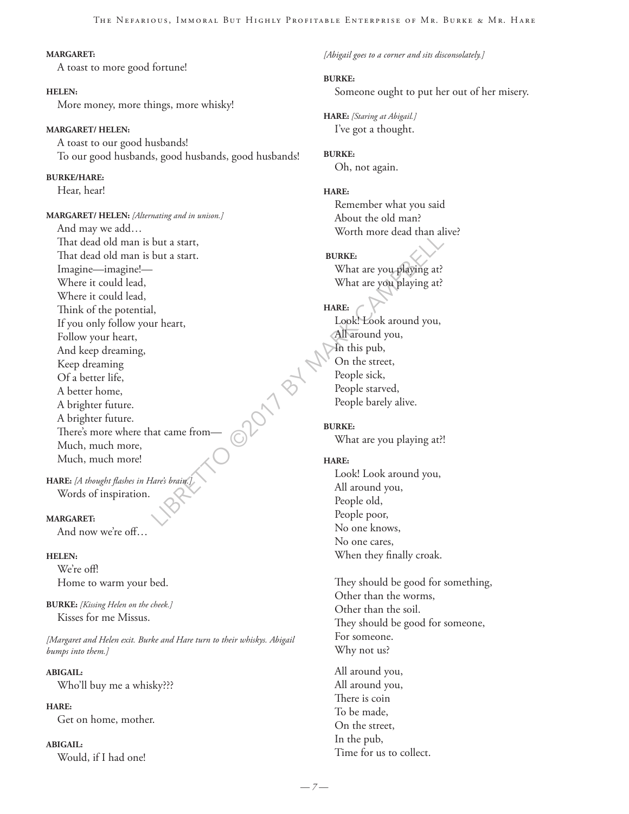#### **MARGARET:**

A toast to more good fortune!

**HELEN:** More money, more things, more whisky!

**MARGARET/ HELEN:**

A toast to our good husbands! To our good husbands, good husbands, good husbands!

**BURKE/HARE:**

Hear, hear!

Under a start,<br>
but a start,<br>
but a start.<br>
What are you playing at?<br>
What are you playing at?<br>
What are you playing at?<br>
What are you playing at?<br>
Under a revolution of the street,<br>
Look! Look around you,<br>
All around you, **MARGARET/ HELEN:** *[Alternating and in unison.]* And may we add… That dead old man is but a start, That dead old man is but a start. Imagine—imagine!— Where it could lead, Where it could lead, Think of the potential, If you only follow your heart, Follow your heart, And keep dreaming, Keep dreaming Of a better life, A better home, A brighter future. A brighter future. There's more where that came from— Much, much more, Much, much more!

**HARE:** *[A thought flashes in Hare's brain.]* Words of inspiration.

#### **MARGARET:**

And now we're off…

#### **HELEN:**

We're off! Home to warm your bed.

**BURKE:** *[Kissing Helen on the cheek.]* Kisses for me Missus.

*[Margaret and Helen exit. Burke and Hare turn to their whiskys. Abigail bumps into them.]*

**ABIGAIL:**

Who'll buy me a whisky???

**HARE:**

Get on home, mother.

#### **ABIGAIL:**

Would, if I had one!

*[Abigail goes to a corner and sits disconsolately.]*

#### **BURKE:**

Someone ought to put her out of her misery.

**HARE:** *[Staring at Abigail.]* I've got a thought.

## **BURKE:**

Oh, not again.

#### **HARE:**

Remember what you said About the old man? Worth more dead than alive?

#### **BURKE:**

What are you playing at? What are you playing at?

#### **HARE:**

Look! Look around you, All around you, In this pub, On the street, People sick, People starved, People barely alive.

**BURKE:** What are you playing at?!

#### **HARE:**

Look! Look around you, All around you, People old, People poor, No one knows, No one cares, When they finally croak.

They should be good for something, Other than the worms, Other than the soil. They should be good for someone, For someone. Why not us?

All around you, All around you, There is coin To be made, On the street, In the pub, Time for us to collect.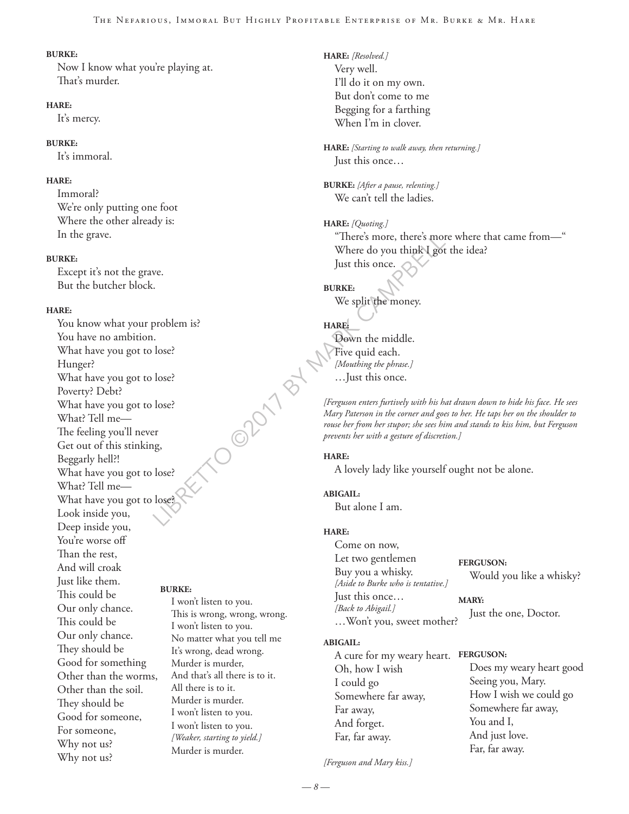#### **BURKE:**

Now I know what you're playing at. That's murder.

#### **HARE:**

It's mercy.

#### **BURKE:**

It's immoral.

#### **HARE:**

Immoral? We're only putting one foot Where the other already is: In the grave.

#### **BURKE:**

Except it's not the grave. But the butcher block.

#### **HARE:**

You know what your problem is? You have no ambition. What have you got to lose? Hunger? What have you got to lose? Poverty? Debt? What have you got to lose? What? Tell me— The feeling you'll never Get out of this stinking, Beggarly hell?! What have you got to lose? What? Tell me— What have you got to lose? Look inside you, Deep inside you, You're worse off Than the rest, And will croak Just like them. This could be Our only chance. This could be Our only chance. They should be Good for something Other than the worms, Other than the soil. They should be Good for someone, For someone, Why not us? Why not us? **BURKE:**

I won't listen to you. This is wrong, wrong, wrong. I won't listen to you. No matter what you tell me It's wrong, dead wrong. Murder is murder, And that's all there is to it. All there is to it. Murder is murder. I won't listen to you. I won't listen to you. *[Weaker, starting to yield.]* Murder is murder.

OOPON BY

**HARE:** *[Resolved.]* Very well. I'll do it on my own. But don't come to me Begging for a farthing When I'm in clover.

**HARE:** *[Starting to walk away, then returning.]* Just this once…

**BURKE:** *[After a pause, relenting.]* We can't tell the ladies.

**HARE:** *[Quoting.]* "There's more, there's more where that came from—" Where do you think I got the idea? Just this once.

**BURKE:**

We split the money.

## **HARE:**

Down the middle. Five quid each. *[Mouthing the phrase.]* …Just this once.

*[Ferguson enters furtively with his hat drawn down to hide his face. He sees Mary Paterson in the corner and goes to her. He taps her on the shoulder to rouse her from her stupor; she sees him and stands to kiss him, but Ferguson prevents her with a gesture of discretion.]*

#### **HARE:**

A lovely lady like yourself ought not be alone.

#### **ABIGAIL:**

But alone I am.

#### **HARE:**

Come on now, Let two gentlemen Buy you a whisky. *[Aside to Burke who is tentative.]* Just this once… *[Back to Abigail.]* …Won't you, sweet mother? **FERGUSON:** Would you like a whisky? **MARY:** Just the one, Doctor.

#### **ABIGAIL:**

A cure for my weary heart. **FERGUSON:** Oh, how I wish I could go Somewhere far away, Far away, And forget. Far, far away. Does my weary heart good Seeing you, Mary. How I wish we could go Somewhere far away, You and I, And just love. Far, far away.

*[Ferguson and Mary kiss.]*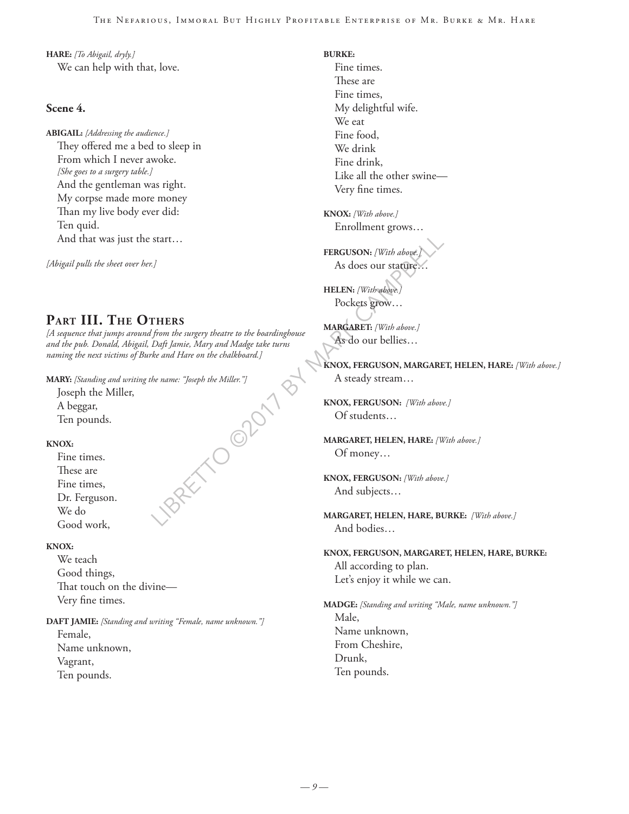**HARE:** *[To Abigail, dryly.]* We can help with that, love.

#### **Scene 4.**

**ABIGAIL:** *[Addressing the audience.]* They offered me a bed to sleep in From which I never awoke. *[She goes to a surgery table.]* And the gentleman was right. My corpse made more money Than my live body ever did: Ten quid. And that was just the start…

*[Abigail pulls the sheet over her.]*

## **Part III. The Others**

*[A sequence that jumps around from the surgery theatre to the boardinghouse and the pub. Donald, Abigail, Daft Jamie, Mary and Madge take turns naming the next victims of Burke and Hare on the chalkboard.]*

BRETTO OPOITBY **MARY:** *[Standing and writing the name: "Joseph the Miller."]*

Joseph the Miller, A beggar,

Ten pounds.

#### **KNOX:**

Fine times. These are Fine times, Dr. Ferguson. We do Good work,

#### **KNOX:**

We teach Good things, That touch on the divine— Very fine times.

**DAFT JAMIE:** *[Standing and writing "Female, name unknown."]* Female,

Name unknown, Vagrant, Ten pounds.

- **BURKE:** Fine times. These are Fine times, My delightful wife. We eat Fine food, We drink Fine drink, Like all the other swine— Very fine times.
- **KNOX:** *[With above.]* Enrollment grows…

**FERGUSON:** *[With above.]* As does our stature…

**HELEN:** *[With above.]* Pockets grow…

**MARGARET:** *[With above.]* As do our bellies…

**KNOX, FERGUSON, MARGARET, HELEN, HARE:** *[With above.]* A steady stream…

**KNOX, FERGUSON:** *[With above.]* Of students…

**MARGARET, HELEN, HARE:** *[With above.]* Of money…

**KNOX, FERGUSON:** *[With above.]* And subjects…

**MARGARET, HELEN, HARE, BURKE:** *[With above.]* And bodies…

**KNOX, FERGUSON, MARGARET, HELEN, HARE, BURKE:** All according to plan. Let's enjoy it while we can.

**MADGE:** *[Standing and writing "Male, name unknown."]* Male, Name unknown, From Cheshire, Drunk, Ten pounds.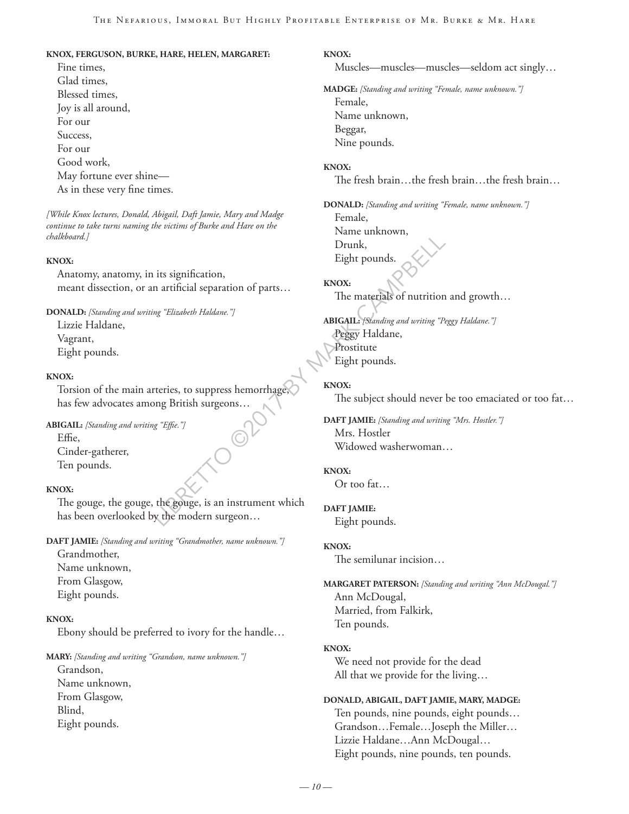#### **KNOX, FERGUSON, BURKE, HARE, HELEN, MARGARET:**

Fine times, Glad times, Blessed times, Joy is all around, For our Success, For our Good work, May fortune ever shine— As in these very fine times.

*[While Knox lectures, Donald, Abigail, Daft Jamie, Mary and Madge continue to take turns naming the victims of Burke and Hare on the chalkboard.]*

#### **KNOX:**

Anatomy, anatomy, in its signification, meant dissection, or an artificial separation of parts…

**DONALD:** *[Standing and writing "Elizabeth Haldane."]*

Lizzie Haldane, Vagrant, Eight pounds.

#### **KNOX:**

Torsion of the main arteries, to suppress hemorrhage, has few advocates among British surgeons…

**ABIGAIL:** *[Standing and writing "Effie."]*

Effie, Cinder-gatherer, Ten pounds.

#### **KNOX:**

The gouge, the gouge, the gouge, is an instrument which has been overlooked by the modern surgeon…

**DAFT JAMIE:** *[Standing and writing "Grandmother, name unknown."]*

Grandmother, Name unknown, From Glasgow, Eight pounds.

#### **KNOX:**

Ebony should be preferred to ivory for the handle…

**MARY:** *[Standing and writing "Grandson, name unknown."]*

Grandson, Name unknown, From Glasgow, Blind, Eight pounds.

#### **KNOX:**

Muscles—muscles—muscles—seldom act singly…

**MADGE:** *[Standing and writing "Female, name unknown."]* Female, Name unknown, Beggar, Nine pounds.

#### **KNOX:**

The fresh brain…the fresh brain…the fresh brain…

**DONALD:** *[Standing and writing "Female, name unknown."]* Female,

Name unknown, Drunk, Eight pounds.

#### **KNOX:**

The materials of nutrition and growth…

LIBREAT CAMPBELL CAMPBELL INTERNATE:<br>
LIBREAT CAMPBELL CAMPBELL CAMPBELL CAMPBELL CAMPBELL CAMPBELL CAMPBELL CAMPBELL CAMPBELL CAMPBELL CAMPBELL CAMPBELL CAMPBELL CAMPBELL CAMPBELL CAMPBELL CAMPBELL CAMPBELL CAMPBELL CAMPB **ABIGAIL:** *[Standing and writing "Peggy Haldane."]* Peggy Haldane, Prostitute Eight pounds.

#### **KNOX:**

The subject should never be too emaciated or too fat…

**DAFT JAMIE:** *[Standing and writing "Mrs. Hostler."]* Mrs. Hostler Widowed washerwoman…

#### **KNOX:**

Or too fat…

#### **DAFT JAMIE:**

Eight pounds.

#### **KNOX:**

The semilunar incision…

**MARGARET PATERSON:** *[Standing and writing "Ann McDougal."]* Ann McDougal, Married, from Falkirk, Ten pounds.

#### **KNOX:**

We need not provide for the dead All that we provide for the living…

#### **DONALD, ABIGAIL, DAFT JAMIE, MARY, MADGE:**

Ten pounds, nine pounds, eight pounds… Grandson…Female…Joseph the Miller… Lizzie Haldane…Ann McDougal… Eight pounds, nine pounds, ten pounds.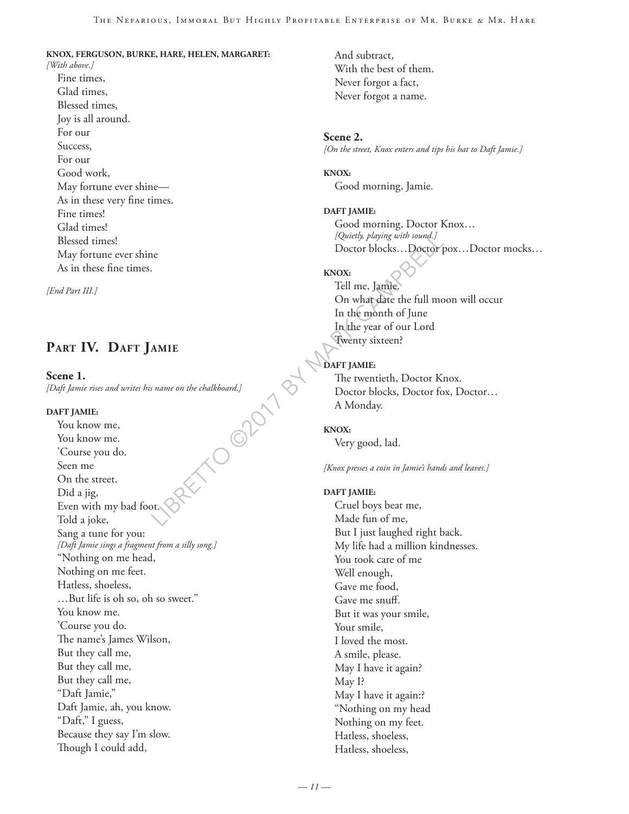#### **KNOX, FERGUSON, BURKE, HARE, HELEN, MARGARET:**

*[With above.]* Fine times, Glad times, Blessed times, Joy is all around. For our Success, For our Good work, May fortune ever shine— As in these very fine times. Fine times! Glad times! Blessed times! May fortune ever shine As in these fine times.

*[End Part III.]*

## **Part IV. Daft Jamie**

**Scene 1.**  *[Daft Jamie rises and writes his name on the chalkboard.]*

#### **DAFT JAMIE:**

 $M_{\odot}$ You know me, You know me. 'Course you do. Seen me On the street. Did a jig, Even with my bad foot. Told a joke, Sang a tune for you: *[Daft Jamie sings a fragment from a silly song.]* "Nothing on me head, Nothing on me feet. Hatless, shoeless, …But life is oh so, oh so sweet." You know me. 'Course you do. The name's James Wilson, But they call me, But they call me, But they call me, "Daft Jamie," Daft Jamie, ah, you know. "Daft," I guess, Because they say I'm slow. Though I could add,

And subtract, With the best of them. Never forgot a fact, Never forgot a name.

**Scene 2.** *[On the street, Knox enters and tips his hat to Daft Jamie.]*

**KNOX:** Good morning, Jamie.

**DAFT JAMIE:** Good morning, Doctor Knox… *[Quietly, playing with sound.]* Doctor blocks…Doctor pox…Doctor mocks…

## **KNOX:**

Tell me, Jamie. On what date the full moon will occur In the month of June In the year of our Lord Twenty sixteen?

#### DAFT JAMIE:

The twentieth, Doctor Knox. Doctor blocks, Doctor fox, Doctor… A Monday.

#### **KNOX:**

Very good, lad.

*[Knox presses a coin in Jamie's hands and leaves.]*

#### **DAFT JAMIE:**

Cruel boys beat me, Made fun of me, But I just laughed right back. My life had a million kindnesses. You took care of me Well enough, Gave me food, Gave me snuff. But it was your smile, Your smile, I loved the most. A smile, please. May I have it again? May I? May I have it again:? "Nothing on my head Nothing on my feet. Hatless, shoeless, Hatless, shoeless,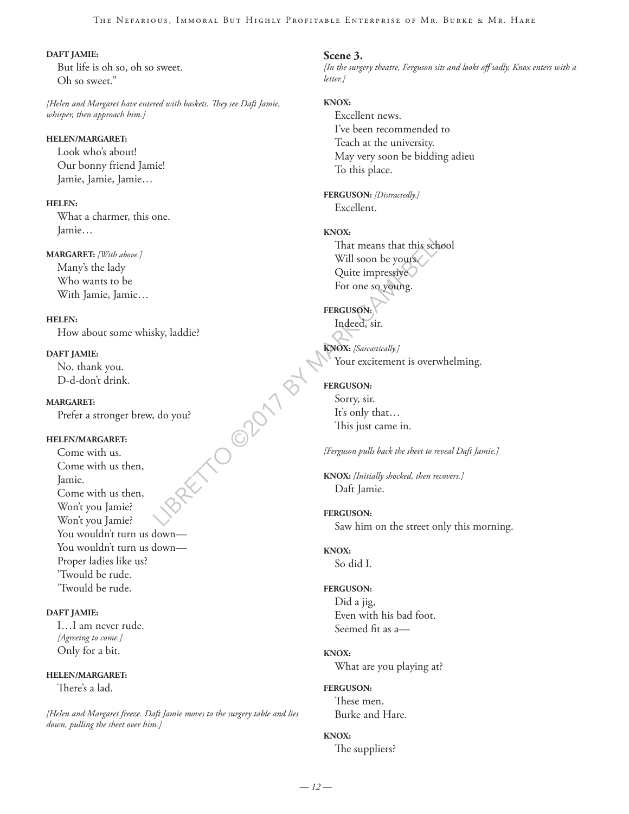#### The Nefarious, Immoral But Highly Profitable Enterprise of Mr. Burke & Mr. Hare

#### **DAFT JAMIE:**

But life is oh so, oh so sweet. Oh so sweet."

*[Helen and Margaret have entered with baskets. They see Daft Jamie, whisper, then approach him.]*

#### **HELEN/MARGARET:**

Look who's about! Our bonny friend Jamie! Jamie, Jamie, Jamie…

#### **HELEN:**

What a charmer, this one. Jamie…

#### **MARGARET:** *[With above.]*

Many's the lady Who wants to be With Jamie, Jamie…

#### **HELEN:**

How about some whisky, laddie?

#### **DAFT JAMIE:**

No, thank you. D-d-don't drink.

#### **MARGARET:**

Prefer a stronger brew, do you?

#### **HELEN/MARGARET:**

RET OOPDIT BY Come with us. Come with us then, Jamie. Come with us then, Won't you Jamie? Won't you Jamie? You wouldn't turn us down— You wouldn't turn us down— Proper ladies like us? 'Twould be rude. 'Twould be rude.

#### **DAFT JAMIE:**

I…I am never rude. *[Agreeing to come.]* Only for a bit.

#### **HELEN/MARGARET:**

There's a lad.

*[Helen and Margaret freeze. Daft Jamie moves to the surgery table and lies down, pulling the sheet over him.]*

#### **Scene 3.**

*[In the surgery theatre, Ferguson sits and looks off sadly. Knox enters with a letter.]*

#### **KNOX:**

Excellent news. I've been recommended to Teach at the university. May very soon be bidding adieu To this place.

**FERGUSON:** *[Distractedly.]* Excellent.

#### **KNOX:**

That means that this school Will soon be yours. Quite impressive For one so young.

## **FERGUSON:**  Indeed, sir.

**KNOX:** *[Sarcastically.]* Your excitement is overwhelming.

#### **FERGUSON:**

Sorry, sir. It's only that… This just came in.

*[Ferguson pulls back the sheet to reveal Daft Jamie.]*

**KNOX:** *[Initially shocked, then recovers.]* Daft Jamie.

#### **FERGUSON:** Saw him on the street only this morning.

**KNOX:** So did I.

#### **FERGUSON:** Did a jig,

Even with his bad foot. Seemed fit as a—

#### **KNOX:**

What are you playing at?

#### **FERGUSON:**

These men. Burke and Hare.

#### **KNOX:**

The suppliers?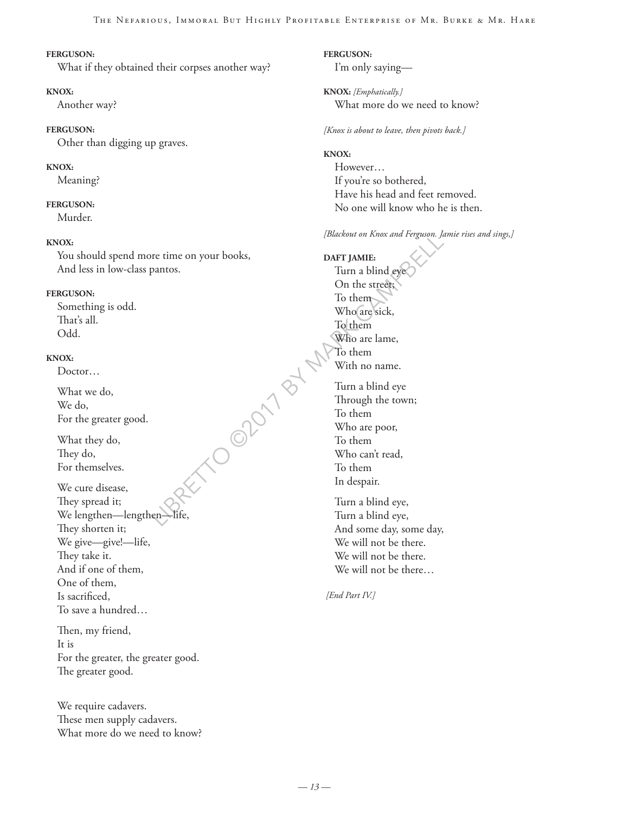#### **FERGUSON:**

What if they obtained their corpses another way?

#### **KNOX:**

Another way?

#### **FERGUSON:**

Other than digging up graves.

#### **KNOX:**

Meaning?

#### **FERGUSON:**

Murder.

#### **KNOX:**

You should spend more time on your books, And less in low-class pantos.

#### **FERGUSON:**

Something is odd. That's all. Odd.

#### **KNOX:**

Doctor…

What we do, We do, For the greater good.

What they do, They do, For themselves.

Price, Campbell R We cure disease, They spread it; We lengthen—lengthen-They shorten it; We give—give!—life, They take it. And if one of them, One of them, Is sacrificed, To save a hundred…

Then, my friend, It is For the greater, the greater good. The greater good.

We require cadavers. These men supply cadavers. What more do we need to know? **FERGUSON:** I'm only saying—

**KNOX:** *[Emphatically.]* What more do we need to know?

*[Knox is about to leave, then pivots back.]*

#### **KNOX:**

However… If you're so bothered, Have his head and feet removed. No one will know who he is then.

*[Blackout on Knox and Ferguson. Jamie rises and sings,]*

**DAFT JAMIE:** Turn a blind eye On the street; To them Who are sick, To them Who are lame, To them With no name. Turn a blind eye

Through the town; To them Who are poor, To them Who can't read, To them In despair.

Turn a blind eye, Turn a blind eye, And some day, some day, We will not be there. We will not be there. We will not be there…

 *[End Part IV.]*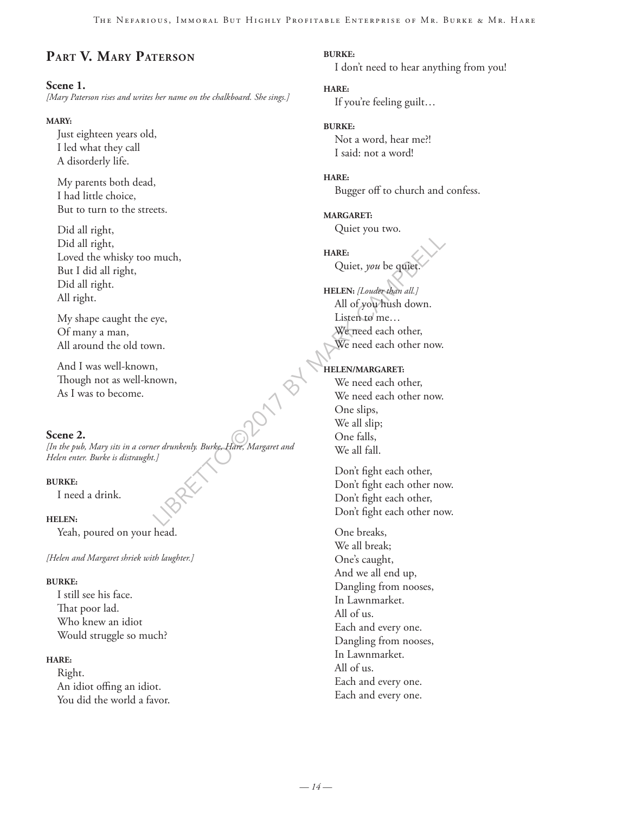## **Part V. Mary Paterson**

#### **Scene 1.**

*[Mary Paterson rises and writes her name on the chalkboard. She sings.]*

#### **MARY:**

Just eighteen years old, I led what they call A disorderly life.

My parents both dead, I had little choice, But to turn to the streets.

Did all right, Did all right, Loved the whisky too much, But I did all right, Did all right. All right.

My shape caught the eye, Of many a man, All around the old town.

And I was well-known, Though not as well-known, As I was to become.

#### **Scene 2.**

*[In the pub, Mary sits in a corner drunkenly. Burke, Hare, Margaret and Helen enter. Burke is distraught.]*

#### **BURKE:**

I need a drink.

#### **HELEN:**

Yeah, poured on your head.

*[Helen and Margaret shriek with laughter.]*

#### **BURKE:**

I still see his face. That poor lad. Who knew an idiot Would struggle so much?

#### **HARE:**

Right. An idiot offing an idiot. You did the world a favor. **BURKE:** I don't need to hear anything from you!

## **HARE:**

If you're feeling guilt…

#### **BURKE:**

Not a word, hear me?! I said: not a word!

#### **HARE:**

Bugger off to church and confess.

**MARGARET:** Quiet you two.

**HARE:** Quiet, *you* be quiet.

**HELEN:** *[Louder than all.]* All of you hush down. Listen to me… We need each other, We need each other now.

#### **HELEN/MARGARET:**

much,<br>
HARE:<br>
Quiet, you be quiet.<br>
HELEN: [Louder than all.]<br>
HELEN: [Louder than all.]<br>
All of you frush down.<br>
Listen to me...<br>
We meed each other,<br>
We meed each other now.<br>
We need each other,<br>
We need each other,<br>
We We need each other, We need each other now. One slips, We all slip; One falls, We all fall.

Don't fight each other, Don't fight each other now. Don't fight each other, Don't fight each other now.

One breaks, We all break; One's caught, And we all end up, Dangling from nooses, In Lawnmarket. All of us. Each and every one. Dangling from nooses, In Lawnmarket. All of us. Each and every one. Each and every one.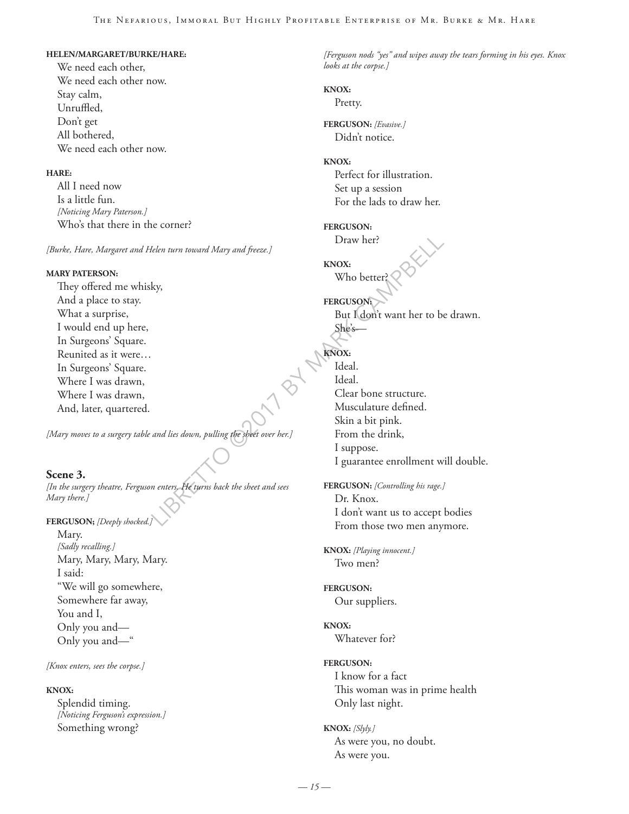#### **HELEN/MARGARET/BURKE/HARE:**

We need each other, We need each other now. Stay calm, Unruffled, Don't get All bothered, We need each other now.

#### **HARE:**

All I need now Is a little fun. *[Noticing Mary Paterson.]* Who's that there in the corner?

*[Burke, Hare, Margaret and Helen turn toward Mary and freeze.]*

#### **MARY PATERSON:**

They offered me whisky, And a place to stay. What a surprise, I would end up here, In Surgeons' Square. Reunited as it were… In Surgeons' Square. Where I was drawn, Where I was drawn, And, later, quartered.

*[Mary moves to a surgery table and lies down, pulling the sheet over her.]*

#### **Scene 3.**

*[In the surgery theatre, Ferguson enters. He turns back the sheet and sees Mary there.]*

**FERGUSON;** *[Deeply shocked.]*

Mary. *[Sadly recalling.]* Mary, Mary, Mary, Mary. I said: "We will go somewhere, Somewhere far away, You and I, Only you and— Only you and—"

*[Knox enters, sees the corpse.]*

#### **KNOX:**

Splendid timing. *[Noticing Ferguson's expression.]* Something wrong?

*[Ferguson nods "yes" and wipes away the tears forming in his eyes. Knox looks at the corpse.]*

#### **KNOX:**

Pretty.

**FERGUSON:** *[Evasive.]* Didn't notice.

#### **KNOX:**

Perfect for illustration. Set up a session For the lads to draw her.

#### **FERGUSON:**

Draw her?

**KNOX:** Who better?

### **FERGUSON:** But I don't want her to be drawn. She's—

Leven turn toward Mary and freeze.]<br>
LIBRETTON Who better?<br>
Who better?<br>
Who better?<br>
EERGUSON:<br>
But I don't want her to be<br>
She's—<br>
She's—<br>
MAROX:<br>
I deal.<br>
Clear bone structure.<br>
Musculature defined.<br>
Skin a bit pink.<br>
I **KNOX:** Ideal. Ideal. Clear bone structure. Musculature defined. Skin a bit pink. From the drink, I suppose. I guarantee enrollment will double.

**FERGUSON:** *[Controlling his rage.]* Dr. Knox. I don't want us to accept bodies From those two men anymore.

**KNOX:** *[Playing innocent.]* Two men?

**FERGUSON:** Our suppliers.

**KNOX:** Whatever for?

#### **FERGUSON:**

I know for a fact This woman was in prime health Only last night.

**KNOX:** *[Slyly.]* As were you, no doubt. As were you.

*— 15 —*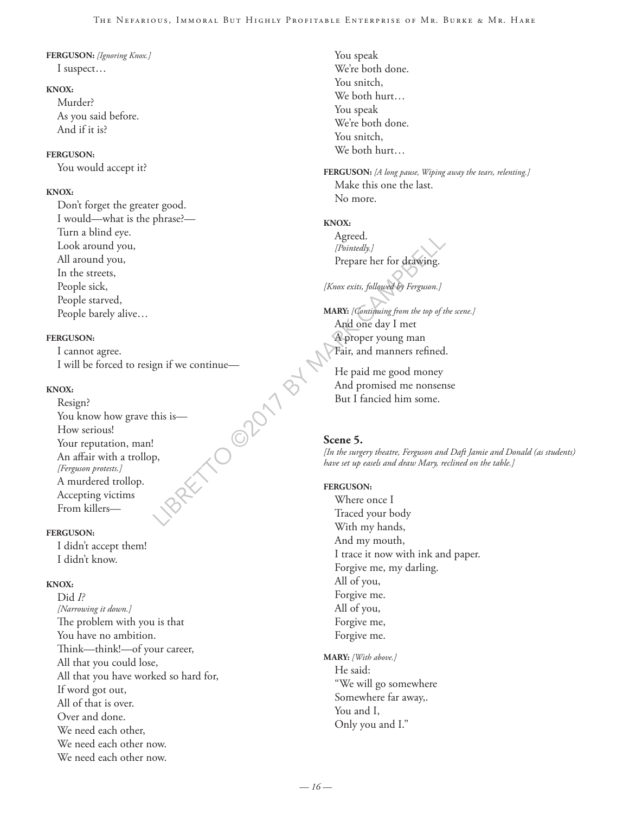#### **FERGUSON:** *[Ignoring Knox.]* I suspect…

#### **KNOX:**

Murder? As you said before. And if it is?

#### **FERGUSON:**

You would accept it?

#### **KNOX:**

Don't forget the greater good. I would—what is the phrase?— Turn a blind eye. Look around you, All around you, In the streets, People sick, People starved, People barely alive…

#### **FERGUSON:**

I cannot agree. I will be forced to resign if we continue—

#### **KNOX:**

RETO OPOIT BY Resign? You know how grave this is— How serious! Your reputation, man! An affair with a trollop, *[Ferguson protests.]* A murdered trollop. Accepting victims From killers—

#### **FERGUSON:**

I didn't accept them! I didn't know.

#### **KNOX:**

Did *I? [Narrowing it down.]* The problem with you is that You have no ambition. Think—think!—of your career, All that you could lose, All that you have worked so hard for, If word got out, All of that is over. Over and done. We need each other, We need each other now. We need each other now.

You speak We're both done. You snitch, We both hurt… You speak We're both done. You snitch, We both hurt…

**FERGUSON:** *[A long pause, Wiping away the tears, relenting.]* Make this one the last. No more.

#### **KNOX:**

Agreed. *[Pointedly.]* Prepare her for drawing.

#### *[Knox exits, followed by Ferguson.]*

**MARY:** *[Continuing from the top of the scene.]* And one day I met A proper young man Fair, and manners refined.

He paid me good money And promised me nonsense But I fancied him some.

#### **Scene 5.**

*[In the surgery theatre, Ferguson and Daft Jamie and Donald (as students) have set up easels and draw Mary, reclined on the table.]* 

#### **FERGUSON:**

Where once I Traced your body With my hands, And my mouth, I trace it now with ink and paper. Forgive me, my darling. All of you, Forgive me. All of you, Forgive me, Forgive me.

#### **MARY:** *[With above.]*

He said: "We will go somewhere Somewhere far away,. You and I, Only you and I."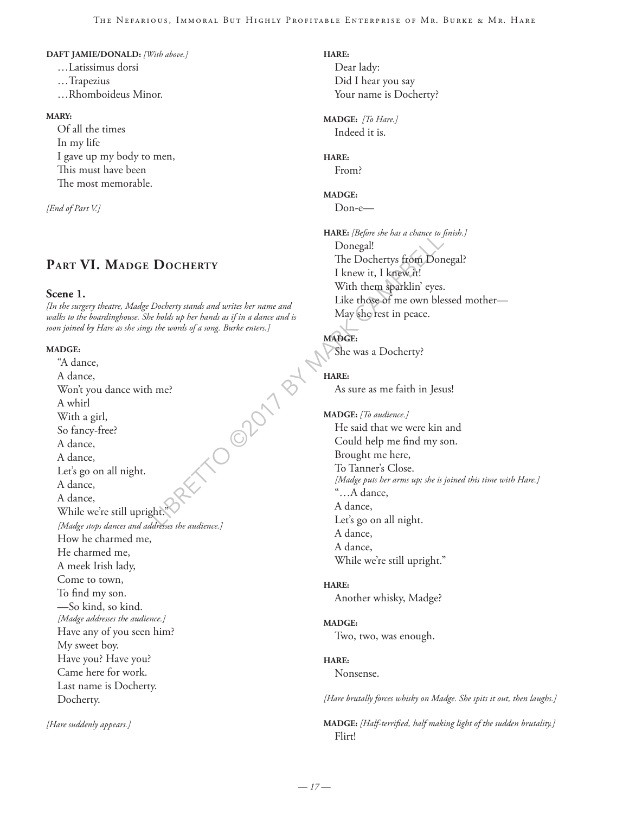#### **DAFT JAMIE/DONALD:** *[With above.]*

…Latissimus dorsi …Trapezius …Rhomboideus Minor.

#### **MARY:**

Of all the times In my life I gave up my body to men, This must have been The most memorable.

*[End of Part V.]*

## **Part VI. Madge Docherty**

#### **Scene 1.**

*[In the surgery theatre, Madge Docherty stands and writes her name and walks to the boardinghouse. She holds up her hands as if in a dance and is soon joined by Hare as she sings the words of a song. Burke enters.]*

#### **MADGE:**

RIPORDING NB "A dance, A dance, Won't you dance with me? A whirl With a girl, So fancy-free? A dance, A dance, Let's go on all night. A dance, A dance, While we're still upright. *[Madge stops dances and addresses the audience.]* How he charmed me, He charmed me, A meek Irish lady, Come to town, To find my son. —So kind, so kind. *[Madge addresses the audience.]* Have any of you seen him? My sweet boy. Have you? Have you? Came here for work. Last name is Docherty. Docherty.

*[Hare suddenly appears.]*

**HARE:** Dear lady: Did I hear you say Your name is Docherty?

**MADGE:** *[To Hare.]* Indeed it is.

**HARE:** From?

## **MADGE:**

Don-e—

**HARE:** *[Before she has a chance to finish.]* Donegal! The Dochertys from Donegal? I knew it, I knew it! With them sparklin' eyes. Like those of me own blessed mother— May she rest in peace.

#### **MADGE:**

She was a Docherty?

#### **HARE:**

As sure as me faith in Jesus!

**MADGE:** *[To audience.]* He said that we were kin and Could help me find my son. Brought me here, To Tanner's Close. *[Madge puts her arms up; she is joined this time with Hare.]* "…A dance, A dance, Let's go on all night. A dance, A dance, While we're still upright."

#### **HARE:**

Another whisky, Madge?

#### **MADGE:**

Two, two, was enough.

#### **HARE:**

Nonsense.

*[Hare brutally forces whisky on Madge. She spits it out, then laughs.]*

**MADGE:** *[Half-terrified, half making light of the sudden brutality.]* Flirt!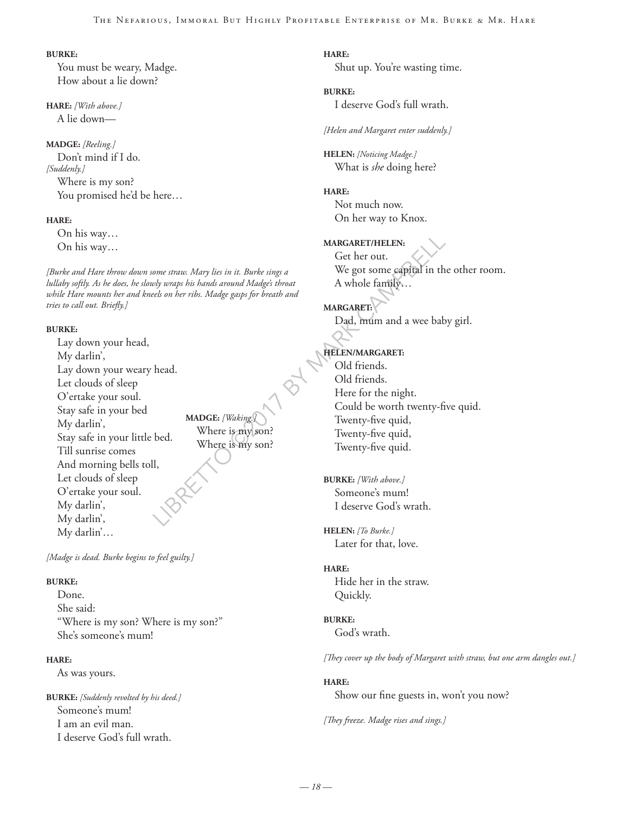#### **BURKE:**

You must be weary, Madge. How about a lie down?

**HARE:** *[With above.]* A lie down—

**MADGE:** *[Reeling.]* Don't mind if I do. *[Suddenly.]* Where is my son? You promised he'd be here…

#### **HARE:**

On his way… On his way…

*[Burke and Hare throw down some straw. Mary lies in it. Burke sings a lullaby softly. As he does, he slowly wraps his hands around Madge's throat while Hare mounts her and kneels on her ribs. Madge gasps for breath and tries to call out. Briefly.]*

#### **BURKE:**

Lay down your head, My darlin', Lay down your weary head. Let clouds of sleep O'ertake your soul. Stay safe in your bed My darlin', Stay safe in your little bed. Till sunrise comes And morning bells toll, Let clouds of sleep O'ertake your soul. My darlin', My darlin', My darlin'…

**MADGE:** *[Waking.]* Where is my son? Where is my son?

*[Madge is dead. Burke begins to feel guilty.]*

#### **BURKE:**

Done. She said: "Where is my son? Where is my son?" She's someone's mum!

#### **HARE:**

As was yours.

**BURKE:** *[Suddenly revolted by his deed.]* Someone's mum! I am an evil man. I deserve God's full wrath.

**HARE:** Shut up. You're wasting time.

#### **BURKE:**

I deserve God's full wrath.

*[Helen and Margaret enter suddenly.]*

**HELEN:** *[Noticing Madge.]* What is *she* doing here?

#### **HARE:**

Not much now. On her way to Knox.

#### **MARGARET/HELEN:**

Get her out. We got some capital in the other room. A whole family…

**MARGARET:** Dad, mum and a wee baby girl.

### **HELEN/MARGARET:**

MARGARET/HELEN:<br>
One straw. Mary lies in it. Burke sings a<br>
We got some capital in the by waps his hands around Madge's throat<br>
led on her ribs. Madge gaps for breath and<br>
MARGARET:<br>
Dad, minn and a wee bab<br>
Dad, minn and Old friends. Old friends. Here for the night. Could be worth twenty-five quid. Twenty-five quid, Twenty-five quid, Twenty-five quid.

**BURKE:** *[With above.]* Someone's mum! I deserve God's wrath.

**HELEN:** *[To Burke.]* Later for that, love.

#### **HARE:**

Hide her in the straw. Quickly.

**BURKE:** God's wrath.

*[They cover up the body of Margaret with straw, but one arm dangles out.]*

#### **HARE:**

Show our fine guests in, won't you now?

*[They freeze. Madge rises and sings.]*

*— 18 —*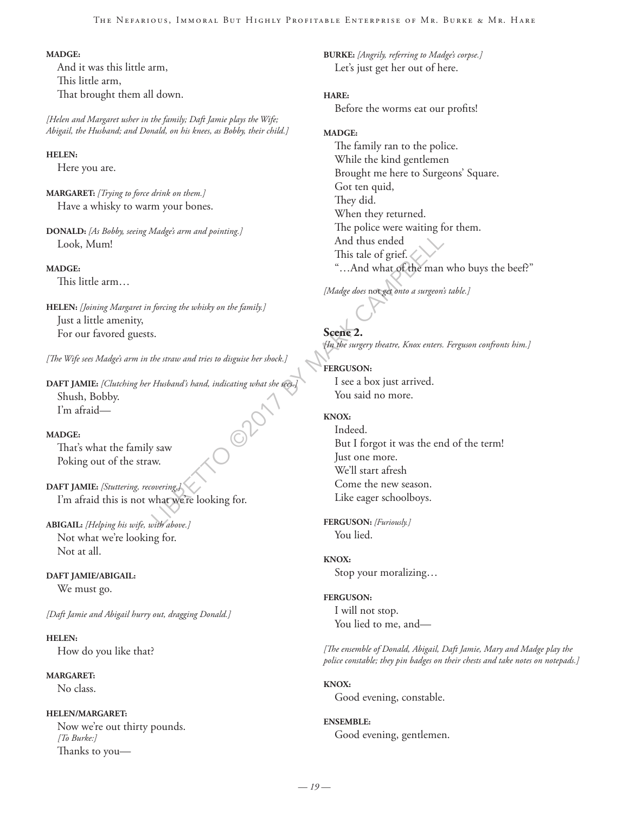#### **MADGE:**

And it was this little arm, This little arm, That brought them all down.

*[Helen and Margaret usher in the family; Daft Jamie plays the Wife; Abigail, the Husband; and Donald, on his knees, as Bobby, their child.]*

#### **HELEN:**

Here you are.

**MARGARET:** *[Trying to force drink on them.]* Have a whisky to warm your bones.

**DONALD:** *[As Bobby, seeing Madge's arm and pointing.]* Look, Mum!

#### **MADGE:**

This little arm…

**HELEN:** *[Joining Margaret in forcing the whisky on the family.]* Just a little amenity, For our favored guests.

*[The Wife sees Madge's arm in the straw and tries to disguise her shock.]*

**DAFT JAMIE:** *[Clutching her Husband's hand, indicating what she sees.]*<br>Shush, Bobby.<br>I'm afraid—<br>**MADGE:**<br>That's what the family Shush, Bobby. I'm afraid—

#### **MADGE:**

That's what the family saw Poking out of the straw.

**DAFT JAMIE:** *[Stuttering, recovering.]* I'm afraid this is not what we're looking for.

**ABIGAIL:** *[Helping his wife, with above.]* Not what we're looking for. Not at all.

#### **DAFT JAMIE/ABIGAIL:**

We must go.

*[Daft Jamie and Abigail hurry out, dragging Donald.]*

**HELEN:** How do you like that?

**MARGARET:**

No class.

#### **HELEN/MARGARET:**

Now we're out thirty pounds. *[To Burke:]* Thanks to you**BURKE:** *[Angrily, referring to Madge's corpse.]* Let's just get her out of here.

#### **HARE:**

Before the worms eat our profits!

#### **MADGE:**

The family ran to the police. While the kind gentlemen Brought me here to Surgeons' Square. Got ten quid, They did. When they returned. The police were waiting for them. And thus ended This tale of grief. "…And what of the man who buys the beef?"

*[Madge does* not *get onto a surgeon's table.]*

**Scene 2.**  *[In the surgery theatre, Knox enters. Ferguson confronts him.]*

**FERGUSON:** I see a box just arrived. You said no more.

#### **KNOX:**

And thus ended<br>
This tale of grief.<br>
"...And what of the man<br>
forcing the whisky on the family.]<br>
Social cases not get onto a surgeon:<br>
forcing the whisky on the family.]<br>
Social cases not get onto a surgeon:<br>
Husband's ha Indeed. But I forgot it was the end of the term! Just one more. We'll start afresh Come the new season. Like eager schoolboys.

**FERGUSON:** *[Furiously.]* You lied.

#### **KNOX:**

Stop your moralizing…

**FERGUSON:** I will not stop.

You lied to me, and—

*[The ensemble of Donald, Abigail, Daft Jamie, Mary and Madge play the police constable; they pin badges on their chests and take notes on notepads.]*

#### **KNOX:**

Good evening, constable.

## **ENSEMBLE:**

Good evening, gentlemen.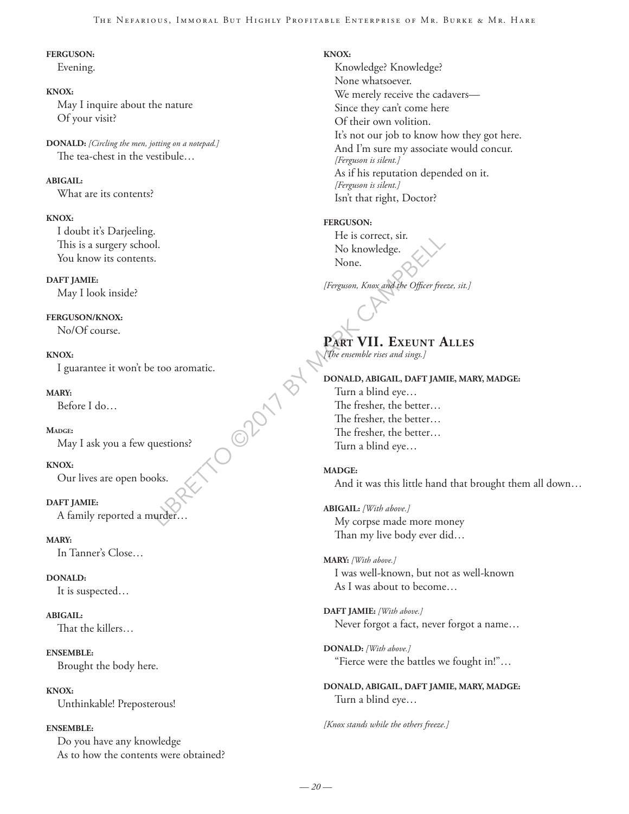#### The Nefarious, Immoral But Highly Profitable Enterprise of Mr. Burke & Mr. Hare

#### **FERGUSON:**

Evening.

#### **KNOX:**

May I inquire about the nature Of your visit?

**DONALD:** *[Circling the men, jotting on a notepad.]* The tea-chest in the vestibule…

#### **ABIGAIL:**

What are its contents?

#### **KNOX:**

I doubt it's Darjeeling. This is a surgery school. You know its contents.

#### **DAFT JAMIE:**

May I look inside?

#### **FERGUSON/KNOX:**

No/Of course.

LO ODD 1 B **KNOX:** I guarantee it won't be too aromatic.

#### **MARY:**

Before I do…

#### **Madge:**

May I ask you a few questions?

**KNOX:**

Our lives are open books.

#### **DAFT JAMIE:**

A family reported a murder…

**MARY:**

In Tanner's Close…

**DONALD:**

It is suspected…

**ABIGAIL:**

That the killers…

#### **ENSEMBLE:**

Brought the body here.

**KNOX:** Unthinkable! Preposterous!

#### **ENSEMBLE:**

Do you have any knowledge As to how the contents were obtained?

#### **KNOX:**

Knowledge? Knowledge? None whatsoever. We merely receive the cadavers— Since they can't come here Of their own volition. It's not our job to know how they got here. And I'm sure my associate would concur. *[Ferguson is silent.]* As if his reputation depended on it. *[Ferguson is silent.]* Isn't that right, Doctor?

#### **FERGUSON:**

He is correct, sir. No knowledge. None.

*[Ferguson, Knox and the Officer freeze, sit.]*

## **Part VII. Exeunt Alles**

*[The ensemble rises and sings.]*

#### **DONALD, ABIGAIL, DAFT JAMIE, MARY, MADGE:**

Turn a blind eye… The fresher, the better… The fresher, the better… The fresher, the better… Turn a blind eye…

## **MADGE:**

And it was this little hand that brought them all down…

**ABIGAIL:** *[With above.]* My corpse made more money Than my live body ever did…

**MARY:** *[With above.]* I was well-known, but not as well-known As I was about to become…

**DAFT JAMIE:** *[With above.]* Never forgot a fact, never forgot a name…

**DONALD:** *[With above.]* "Fierce were the battles we fought in!"…

**DONALD, ABIGAIL, DAFT JAMIE, MARY, MADGE:** Turn a blind eye…

*[Knox stands while the others freeze.]*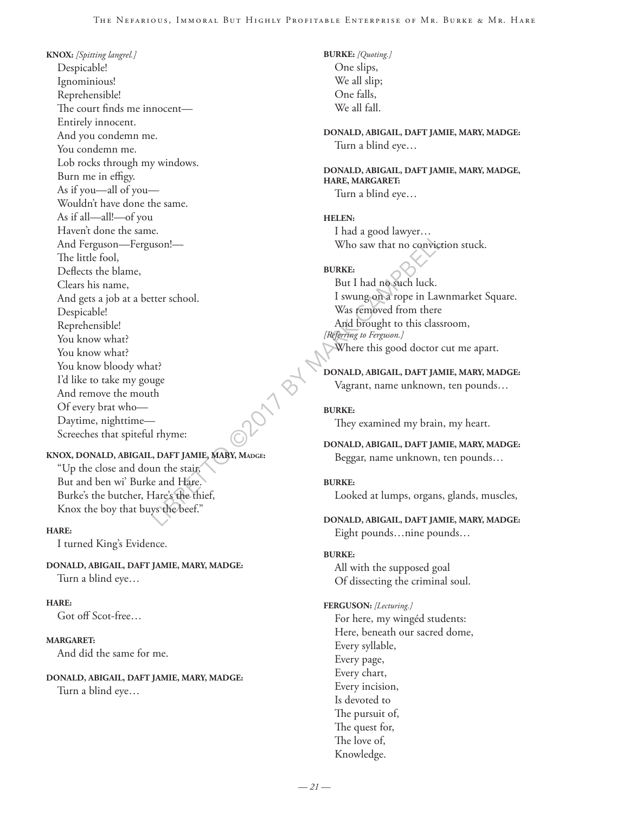LIBRERISON CONSULTER THE CAMPBELL CONSULT ON A BURKE:<br>
LIBRERISON CONSULTER TO CONCERN THE CAMPBELL ON A And DEVISE TO LAW WAS femoved from there<br>
LIBRERISON CAMPBELL ON A And DEVIS CAMPBELL ON THE CAMPBELL ON THE CAMPBELL **KNOX:** *[Spitting langrel.]* Despicable! Ignominious! Reprehensible! The court finds me innocent— Entirely innocent. And you condemn me. You condemn me. Lob rocks through my windows. Burn me in effigy. As if you—all of you— Wouldn't have done the same. As if all—all!—of you Haven't done the same. And Ferguson—Ferguson!— The little fool, Deflects the blame, Clears his name, And gets a job at a better school. Despicable! Reprehensible! You know what? You know what? You know bloody what? I'd like to take my gouge And remove the mouth Of every brat who— Daytime, nighttime— Screeches that spiteful rhyme:

#### **KNOX, DONALD, ABIGAIL, DAFT JAMIE, MARY, Madge:**

"Up the close and doun the stair, But and ben wi' Burke and Hare. Burke's the butcher, Hare's the thief, Knox the boy that buys the beef."

#### **HARE:**

I turned King's Evidence.

#### **DONALD, ABIGAIL, DAFT JAMIE, MARY, MADGE:** Turn a blind eye…

#### **HARE:**

Got off Scot-free…

#### **MARGARET:**

And did the same for me.

#### **DONALD, ABIGAIL, DAFT JAMIE, MARY, MADGE:**

Turn a blind eye…

**BURKE:** *[Quoting.]* One slips, We all slip; One falls, We all fall.

**DONALD, ABIGAIL, DAFT JAMIE, MARY, MADGE:** Turn a blind eye…

**DONALD, ABIGAIL, DAFT JAMIE, MARY, MADGE, HARE, MARGARET:** Turn a blind eye…

**HELEN:** I had a good lawyer… Who saw that no conviction stuck.

#### **BURKE:**

But I had no such luck. I swung on a rope in Lawnmarket Square. Was removed from there And brought to this classroom, *[Referring to Ferguson.]* Where this good doctor cut me apart.

**DONALD, ABIGAIL, DAFT JAMIE, MARY, MADGE:** Vagrant, name unknown, ten pounds…

**BURKE:** They examined my brain, my heart.

```
DONALD, ABIGAIL, DAFT JAMIE, MARY, MADGE:
  Beggar, name unknown, ten pounds…
```
#### **BURKE:**

Looked at lumps, organs, glands, muscles,

**DONALD, ABIGAIL, DAFT JAMIE, MARY, MADGE:** Eight pounds…nine pounds…

#### **BURKE:**

All with the supposed goal Of dissecting the criminal soul.

#### **FERGUSON:** *[Lecturing.]*

For here, my wingéd students: Here, beneath our sacred dome, Every syllable, Every page, Every chart, Every incision, Is devoted to The pursuit of, The quest for, The love of, Knowledge.